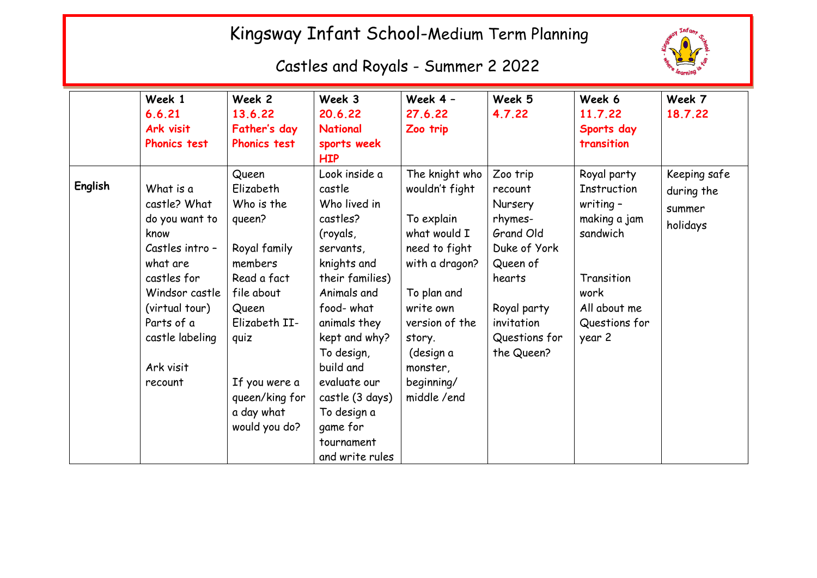## Kingsway Infant School-Medium Term Planning

Castles and Royals - Summer 2 2022



|         | Week 1<br>6.6.21<br>Ark visit<br><b>Phonics test</b>                                                                                                                                           | Week 2<br>13.6.22<br>Father's day<br><b>Phonics test</b>                                                                                                                                               | Week 3<br>20.6.22<br><b>National</b><br>sports week<br><b>HIP</b>                                                                                                                                                                                                                                     | Week 4 -<br>27.6.22<br>Zoo trip                                                                                                                                                                                | Week 5<br>4.7.22                                                                                                                                         | Week 6<br>11.7.22<br>Sports day<br>transition                                                                                          | Week 7<br>18.7.22                                |
|---------|------------------------------------------------------------------------------------------------------------------------------------------------------------------------------------------------|--------------------------------------------------------------------------------------------------------------------------------------------------------------------------------------------------------|-------------------------------------------------------------------------------------------------------------------------------------------------------------------------------------------------------------------------------------------------------------------------------------------------------|----------------------------------------------------------------------------------------------------------------------------------------------------------------------------------------------------------------|----------------------------------------------------------------------------------------------------------------------------------------------------------|----------------------------------------------------------------------------------------------------------------------------------------|--------------------------------------------------|
| English | What is a<br>castle? What<br>do you want to<br>know<br>Castles intro -<br>what are<br>castles for<br>Windsor castle<br>(virtual tour)<br>Parts of a<br>castle labeling<br>Ark visit<br>recount | Queen<br>Elizabeth<br>Who is the<br>queen?<br>Royal family<br>members<br>Read a fact<br>file about<br>Queen<br>Elizabeth II-<br>quiz<br>If you were a<br>queen/king for<br>a day what<br>would you do? | Look inside a<br>castle<br>Who lived in<br>castles?<br>(royals,<br>servants,<br>knights and<br>their families)<br>Animals and<br>food-what<br>animals they<br>kept and why?<br>To design,<br>build and<br>evaluate our<br>castle (3 days)<br>To design a<br>game for<br>tournament<br>and write rules | The knight who<br>wouldn't fight<br>To explain<br>what would I<br>need to fight<br>with a dragon?<br>To plan and<br>write own<br>version of the<br>story.<br>(design a<br>monster,<br>beginning/<br>middle/end | Zoo trip<br>recount<br>Nursery<br>rhymes-<br>Grand Old<br>Duke of York<br>Queen of<br>hearts<br>Royal party<br>invitation<br>Questions for<br>the Queen? | Royal party<br>Instruction<br>writing $-$<br>making a jam<br>sandwich<br>Transition<br>work<br>All about me<br>Questions for<br>year 2 | Keeping safe<br>during the<br>summer<br>holidays |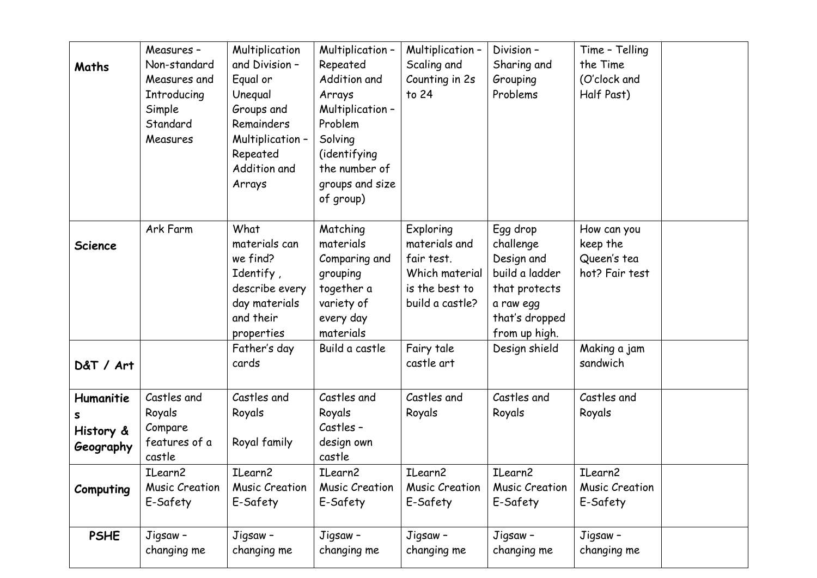| Maths                                    | Measures -<br>Non-standard<br>Measures and<br>Introducing<br>Simple<br>Standard<br>Measures | Multiplication<br>and Division -<br>Equal or<br>Unequal<br>Groups and<br>Remainders<br>Multiplication -<br>Repeated<br>Addition and<br>Arrays | Multiplication -<br>Repeated<br>Addition and<br>Arrays<br>Multiplication -<br>Problem<br>Solving<br>(identifying<br>the number of<br>groups and size | Multiplication -<br>Scaling and<br>Counting in 2s<br>to 24                                             | Division-<br>Sharing and<br>Grouping<br>Problems                                                                       | Time - Telling<br>the Time<br>(O'clock and<br>Half Past) |  |
|------------------------------------------|---------------------------------------------------------------------------------------------|-----------------------------------------------------------------------------------------------------------------------------------------------|------------------------------------------------------------------------------------------------------------------------------------------------------|--------------------------------------------------------------------------------------------------------|------------------------------------------------------------------------------------------------------------------------|----------------------------------------------------------|--|
|                                          |                                                                                             |                                                                                                                                               | of group)                                                                                                                                            |                                                                                                        |                                                                                                                        |                                                          |  |
| <b>Science</b>                           | Ark Farm                                                                                    | What<br>materials can<br>we find?<br>Identify,<br>describe every<br>day materials<br>and their<br>properties                                  | Matching<br>materials<br>Comparing and<br>grouping<br>together a<br>variety of<br>every day<br>materials                                             | <b>Exploring</b><br>materials and<br>fair test.<br>Which material<br>is the best to<br>build a castle? | Egg drop<br>challenge<br>Design and<br>build a ladder<br>that protects<br>a raw egg<br>that's dropped<br>from up high. | How can you<br>keep the<br>Queen's tea<br>hot? Fair test |  |
| D&T / Art                                |                                                                                             | Father's day<br>cards                                                                                                                         | Build a castle                                                                                                                                       | Fairy tale<br>castle art                                                                               | Design shield                                                                                                          | Making a jam<br>sandwich                                 |  |
| Humanitie<br>s<br>History &<br>Geography | Castles and<br>Royals<br>Compare<br>features of a<br>castle                                 | Castles and<br>Royals<br>Royal family                                                                                                         | Castles and<br>Royals<br>Castles -<br>design own<br>castle                                                                                           | Castles and<br>Royals                                                                                  | Castles and<br>Royals                                                                                                  | Castles and<br>Royals                                    |  |
| Computing                                | ILearn2<br>Music Creation<br>E-Safety                                                       | ILearn2<br>Music Creation<br>E-Safety                                                                                                         | ILearn2<br>Music Creation<br>E-Safety                                                                                                                | ILearn2<br><b>Music Creation</b><br>E-Safety                                                           | ILearn2<br>Music Creation<br>E-Safety                                                                                  | ILearn2<br><b>Music Creation</b><br>E-Safety             |  |
| <b>PSHE</b>                              | Jigsaw -<br>changing me                                                                     | Jigsaw -<br>changing me                                                                                                                       | Jigsaw -<br>changing me                                                                                                                              | Jigsaw -<br>changing me                                                                                | Jigsaw -<br>changing me                                                                                                | Jigsaw -<br>changing me                                  |  |